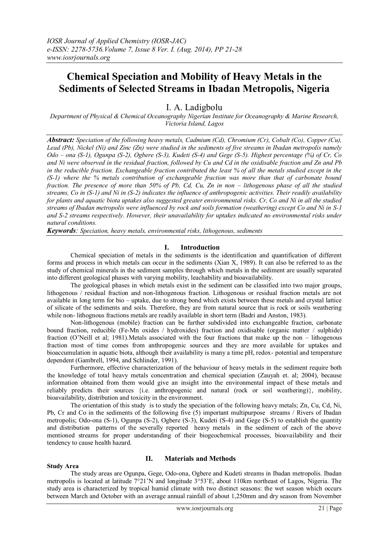# **Chemical Speciation and Mobility of Heavy Metals in the Sediments of Selected Streams in Ibadan Metropolis, Nigeria**

## I. A. Ladigbolu

*Department of Physical & Chemical Oceanography Nigerian Institute for Oceanography & Marine Research, Victoria Island, Lagos*

*Abstract: Speciation of the following heavy metals, Cadmium (Cd), Chromium (Cr), Cobalt (Co), Copper (Cu), Lead (Pb), Nickel (Ni) and Zinc (Zn) were studied in the sediments of five streams in Ibadan metropolis namely Odo – ona (S-1), Ogunpa (S-2), Ogbere (S-3), Kudeti (S-4) and Gege (S-5). Highest percentage (%) of Cr, Co and Ni were observed in the residual fraction, followed by Cu and Cd in the oxidisable fraction and Zn and Pb in the reducible fraction. Exchangeable fraction contributed the least % of all the metals studied except in the (S-1) where the % metals contribution of exchangeable fraction was more than that of carbonate bound fraction. The presence of more than 50% of Pb, Cd, Cu, Zn in non – lithogenous phase of all the studied streams, Co in (S-1) and Ni in (S-2) indicates the influence of anthropogenic activities. Their readily availability for plants and aquatic biota uptakes also suggested greater environmental risks. Cr, Co and Ni in all the studied streams of Ibadan metropolis were influenced by rock and soils formation (weathering) except Co and Ni in S-1 and S-2 streams respectively. However, their unavailability for uptakes indicated no environmental risks under natural conditions.* 

*Keywords: Speciation, heavy metals, environmental risks, lithogenous, sediments* 

#### **I. Introduction**

Chemical speciation of metals in the sediments is the identification and quantification of different forms and process in which metals can occur in the sediments (Xian X, 1989). It can also be referred to as the study of chemical minerals in the sediment samples through which metals in the sediment are usually separated into different geological phases with varying mobility, leachability and bioavailability.

The geological phases in which metals exist in the sediment can be classified into two major groups, lithogenous / residual fraction and non-lithogenous fraction. Lithogenous or residual fraction metals are not available in long term for bio – uptake, due to strong bond which exists between these metals and crystal lattice of silicate of the sediments and soils. Therefore, they are from natural source that is rock or soils weathering while non- lithognous fractions metals are readily available in short term (Badri and Anston, 1983).

Non-lithogenous (mobile) fraction can be further subdivided into exchangeable fraction, carbonate bound fraction, reducible (Fe-Mn oxides / hydroxides) fraction and oxidisable (organic matter / sulphide) fraction (O'Neill et al; 1981).Metals associated with the four fractions that make up the non – lithogenous fraction most of time comes from anthropogenic sources and they are more available for uptakes and bioaccumulation in aquatic biota, although their availability is many a time pH, redox- potential and temperature dependent (Gambrell, 1994, and Schlinder, 1991).

Furthermore, effective characterization of the behaviour of heavy metals in the sediment require both the knowledge of total heavy metals concentration and chemical speciation (Zauyah et. al; 2004), because information obtained from them would give an insight into the environmental impact of these metals and reliably predicts their sources {i.e. anthropogenic and natural (rock or soil weathering)}, mobility, bioavailability, distribution and toxicity in the environment.

The orientation of this study is to study the speciation of the following heavy metals; Zn, Cu, Cd, Ni, Pb, Cr and Co in the sediments of the following five (5) important multipurpose streams / Rivers of Ibadan metropolis; Odo-ona (S-1), Ogunpa (S-2), Ogbere (S-3), Kudeti (S-4) and Gege (S-5) to establish the quantity and distribution patterns of the severally reported heavy metals in the sediment of each of the above mentioned streams for proper understanding of their biogeochemical processes, bioavailability and their tendency to cause health hazard.

#### **Study Area**

#### **II. Materials and Methods**

The study areas are Ogunpa, Gege, Odo-ona, Ogbere and Kudeti streams in Ibadan metropolis. Ibadan metropolis is located at latitude 7°21'N and longitude 3°53'E, about 110km northeast of Lagos, Nigeria. The study area is characterized by tropical humid climate with two distinct seasons: the wet season which occurs between March and October with an average annual rainfall of about 1,250mm and dry season from November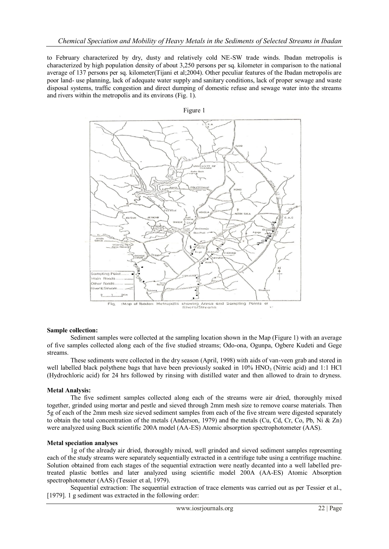to February characterized by dry, dusty and relatively cold NE-SW trade winds. Ibadan metropolis is characterized by high population density of about 3,250 persons per sq. kilometer in comparison to the national average of 137 persons per sq. kilometer(Tijani et al;2004). Other peculiar features of the Ibadan metropolis are poor land- use planning, lack of adequate water supply and sanitary conditions, lack of proper sewage and waste disposal systems, traffic congestion and direct dumping of domestic refuse and sewage water into the streams and rivers within the metropolis and its environs (Fig. 1).



#### **Sample collection:**

Sediment samples were collected at the sampling location shown in the Map (Figure 1) with an average of five samples collected along each of the five studied streams; Odo-ona, Ogunpa, Ogbere Kudeti and Gege streams.

These sediments were collected in the dry season (April, 1998) with aids of van-veen grab and stored in well labelled black polythene bags that have been previously soaked in  $10\%$  HNO<sub>3</sub> (Nitric acid) and 1:1 HCl (Hydrochloric acid) for 24 hrs followed by rinsing with distilled water and then allowed to drain to dryness.

#### **Metal Analysis:**

The five sediment samples collected along each of the streams were air dried, thoroughly mixed together, grinded using mortar and pestle and sieved through 2mm mesh size to remove coarse materials. Then 5g of each of the 2mm mesh size sieved sediment samples from each of the five stream were digested separately to obtain the total concentration of the metals (Anderson, 1979) and the metals (Cu, Cd, Cr, Co, Pb, Ni & Zn) were analyzed using Buck scientific 200A model (AA-ES) Atomic absorption spectrophotometer (AAS).

#### **Metal speciation analyses**

1g of the already air dried, thoroughly mixed, well grinded and sieved sediment samples representing each of the study streams were separately sequentially extracted in a centrifuge tube using a centrifuge machine. Solution obtained from each stages of the sequential extraction were neatly decanted into a well labelled pretreated plastic bottles and later analyzed using scientific model 200A (AA-ES) Atomic Absorption spectrophotometer (AAS) (Tessier et al, 1979).

Sequential extraction: The sequential extraction of trace elements was carried out as per Tessier et al., [1979]. 1 g sediment was extracted in the following order: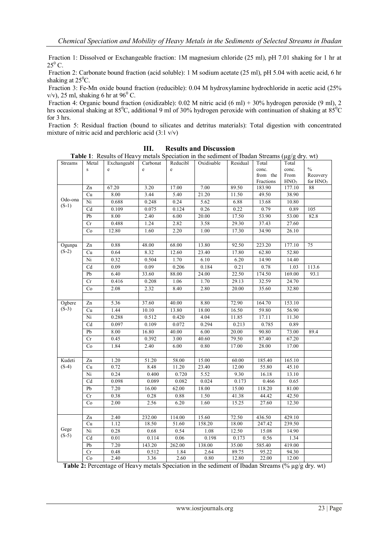Fraction 1: Dissolved or Exchangeable fraction: 1M magnesium chloride (25 ml), pH 7.01 shaking for 1 hr at  $25^0$  C.

Fraction 2: Carbonate bound fraction (acid soluble): 1 M sodium acetate (25 ml), pH 5.04 with acetic acid, 6 hr shaking at  $25^{\circ}$ C.

Fraction 3: Fe-Mn oxide bound fraction (reducible): 0.04 M hydroxylamine hydrochloride in acetic acid (25% v/v), 25 ml, shaking 6 hr at  $96^{\circ}$  C.

Fraction 4: Organic bound fraction (oxidizable): 0.02 M nitric acid (6 ml) + 30% hydrogen peroxide (9 ml), 2 hrs occasional shaking at 85<sup>0</sup>C, additional 9 ml of 30% hydrogen peroxide with continuation of shaking at 85<sup>0</sup>C for 3 hrs.

Fraction 5: Residual fraction (bound to silicates and detritus materials): Total digestion with concentrated mixture of nitric acid and perchloric acid (3:1 v/v)

| <b>Streams</b>     | Metal           | <b>Table 1.</b> Tresults of Freavy metals operation in the scannent of foatum streams ( $\mu$ g/g ury. wt)<br>Exchangeabl | Carbonat | Reducibl    | Oxidisable | Residual | Total     | Total            |                      |
|--------------------|-----------------|---------------------------------------------------------------------------------------------------------------------------|----------|-------------|------------|----------|-----------|------------------|----------------------|
|                    | $\,$ S          | e                                                                                                                         | e        | $\mathbf e$ |            |          | conc.     | conc.            | $\frac{0}{0}$        |
|                    |                 |                                                                                                                           |          |             |            |          | from the  | From             | Recovery             |
|                    |                 |                                                                                                                           |          |             |            |          | Fractions | HNO <sub>3</sub> | for HNO <sub>3</sub> |
| Odo-ona<br>$(S-1)$ | Zn              | 67.20                                                                                                                     | 3.20     | 17.00       | 7.00       | 89.50    | 183.90    | 177.10           | 88                   |
|                    | Cu              | 8.00                                                                                                                      | 3.44     | 5.40        | 21.20      | 11.50    | 49.50     | 38.90            |                      |
|                    | Ni              | 0.688                                                                                                                     | 0.248    | 0.24        | 5.62       | 6.88     | 13.68     | 10.80            |                      |
|                    | Cd              | 0.109                                                                                                                     | 0.075    | 0.124       | 0.26       | 0.22     | 0.79      | 0.89             | 105                  |
|                    | Pb              | 8.00                                                                                                                      | 2.40     | 6.00        | 20.00      | 17.50    | 53.90     | 53.00            | 82.8                 |
|                    | Cr              | 0.488                                                                                                                     | 1.24     | 2.82        | 3.58       | 29.30    | 37.43     | 27.60            |                      |
|                    | $\rm Co$        | 12.80                                                                                                                     | 1.60     | 2.20        | 1.00       | 17.30    | 34.90     | 26.10            |                      |
|                    |                 |                                                                                                                           |          |             |            |          |           |                  |                      |
| Ogunpa             | $\overline{Zn}$ | 0.88                                                                                                                      | 48.00    | 68.00       | 13.80      | 92.50    | 223.20    | 177.10           | 75                   |
| $(S-2)$            | Cu              | 0.64                                                                                                                      | 8.32     | 12.60       | 23.40      | 17.80    | 62.80     | 52.80            |                      |
|                    | $\overline{Ni}$ | 0.32                                                                                                                      | 0.504    | 1.70        | 6.10       | 6.20     | 14.90     | 14.40            |                      |
|                    | $\overline{Cd}$ | 0.09                                                                                                                      | 0.09     | 0.206       | 0.184      | 0.21     | 0.78      | 1.03             | 113.6                |
|                    | ${\rm Pb}$      | 6.40                                                                                                                      | 33.60    | 88.00       | 24.00      | 22.50    | 174.50    | 169.00           | 93.1                 |
|                    | Cr              | 0.416                                                                                                                     | 0.208    | 1.06        | 1.70       | 29.13    | 32.59     | 24.70            |                      |
|                    | $\rm Co$        | 2.08                                                                                                                      | 2.32     | 8.40        | 2.80       | 20.00    | 35.60     | 32.80            |                      |
|                    |                 |                                                                                                                           |          |             |            |          |           |                  |                      |
| Ogbere             | Zn              | 5.36                                                                                                                      | 37.60    | 40.00       | 8.80       | 72.90    | 164.70    | 153.10           |                      |
| $(S-3)$            | Cu              | 1.44                                                                                                                      | 10.10    | 13.80       | 18.00      | 16.50    | 59.80     | 56.90            |                      |
|                    | Ni              | 0.288                                                                                                                     | 0.512    | 0.420       | 4.04       | 11.85    | 17.11     | 11.30            |                      |
|                    | Cd              | 0.097                                                                                                                     | 0.109    | 0.072       | 0.294      | 0.213    | 0.785     | 0.89             |                      |
|                    | Pb              | 8.00                                                                                                                      | 16.80    | 40.00       | 6.00       | 20.00    | 90.80     | 73.00            | 89.4                 |
|                    | Cr              | 0.45                                                                                                                      | 0.392    | 3.00        | 40.60      | 79.50    | 87.40     | 67.20            |                      |
|                    | Co              | 1.84                                                                                                                      | 2.40     | 6.00        | 0.80       | 17.00    | 28.00     | 17.00            |                      |
|                    |                 |                                                                                                                           |          |             |            |          |           |                  |                      |
| Kudeti             | $\overline{Zn}$ | 1.20                                                                                                                      | 51.20    | 58.00       | 15.00      | 60.00    | 185.40    | 165.10           |                      |
| $(S-4)$            | $\overline{Cu}$ | 0.72                                                                                                                      | 8.48     | 11.20       | 23.40      | 12.00    | 55.80     | 45.10            |                      |
|                    | Ni              | 0.24                                                                                                                      | 0.400    | 0.720       | 5.52       | 9.30     | 16.18     | 13.10            |                      |
|                    | Cd              | 0.098                                                                                                                     | 0.089    | 0.082       | 0.024      | 0.173    | 0.466     | 0.65             |                      |
|                    | Pb              | 7.20                                                                                                                      | 16.00    | 62.00       | 18.00      | 15.00    | 118.20    | 81.00            |                      |
|                    | Cr              | 0.38                                                                                                                      | 0.28     | 0.88        | 1.50       | 41.38    | 44.42     | 42.50            |                      |
|                    | Co              | 2.00                                                                                                                      | 2.56     | 6.20        | 1.60       | 15.25    | 27.60     | 12.30            |                      |
|                    |                 |                                                                                                                           |          |             |            |          |           |                  |                      |
|                    | $\overline{Zn}$ | 2.40                                                                                                                      | 232.00   | 114.00      | 15.60      | 72.50    | 436.50    | 429.10           |                      |
| Gege<br>$(S-5)$    | Cu              | 1.12                                                                                                                      | 18.50    | 51.60       | 158.20     | 18.00    | 247.42    | 239.50           |                      |
|                    | Ni              | 0.28                                                                                                                      | 0.68     | 0.54        | 1.08       | 12.50    | 15.08     | 14.90            |                      |
|                    | Cd              | 0.01                                                                                                                      | 0.114    | 0.06        | 0.198      | 0.173    | 0.56      | 1.34             |                      |
|                    | Pb              | 7.20                                                                                                                      | 143.20   | 262.00      | 138.00     | 35.00    | 585.40    | 419.00           |                      |
|                    | Cr              | 0.48                                                                                                                      | 0.512    | 1.84        | 2.64       | 89.75    | 95.22     | 94.30            |                      |
|                    | Co              | 2.40                                                                                                                      | 3.36     | 2.60        | 0.80       | 12.80    | 22.00     | 12.00            |                      |

**III. Results and Discussion**

**Table 1**: Results of Heavy metals Speciation in the sediment of Ibadan Streams (µg/g dry. wt)

**Table 2:** Percentage of Heavy metals Speciation in the sediment of Ibadan Streams (% µg/g dry. wt)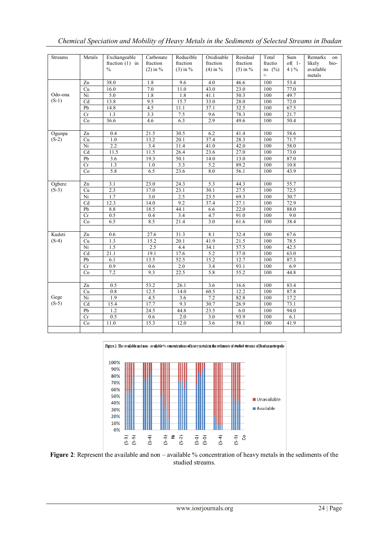| <b>Streams</b> | Metals                 | Exchangeable      | Carbonate  | Reducible   | Oxidisable  | Residual     | Total       | Sum         | Remarks<br>on  |
|----------------|------------------------|-------------------|------------|-------------|-------------|--------------|-------------|-------------|----------------|
|                |                        | fraction $(1)$ in | fraction   | fraction    | fraction    | fraction     | fractio     | $of(1 -$    | likely<br>bio- |
|                |                        | $\frac{0}{0}$     | $(2)$ in % | $(3)$ in %  | $(4)$ in %  | $(5)$ in %   | $ns \ (\%)$ | $4) \%$     | available      |
|                |                        |                   |            |             |             |              | $\approx$   |             | metals         |
|                | Zn                     | 38.0              | 1.8        | 9.6         | 4.0         | 46.6         | 100         | 53.4        |                |
|                | Cu                     | 16.0              | 7.0        | 11.0        | 43.0        | 23.0         | 100         | 77.0        |                |
| Odo-ona        | Ni                     | 5.0               | 1.8        | 1.8         | 41.1        | 50.3         | 100         | 49.7        |                |
| $(S-1)$        | Cd                     | 13.8              | 9.5        | 15.7        | 33.0        | 28.0         | 100         | 72.0        |                |
|                | Pb                     | 14.8              | 4.5        | 11.1        | 37.1        | 32.5         | 100         | 67.5        |                |
|                | $\overline{\text{Cr}}$ | 1.3               | 3.3        | 7.5         | 9.6         | 78.3         | 100         | 21.7        |                |
|                | Co                     | 36.6              | 4.6        | 6.3         | 2.9         | 49.6         | 100         | 50.4        |                |
|                |                        |                   |            |             |             |              |             |             |                |
| Ogunpa         | Zn                     | 0.4               | 21.5       | 30.5        | 6.2         | 41.4         | 100         | 58.6        |                |
| $(S-2)$        | Cu                     | 1.0               | 13.2       | 20.1        | 37.4        | 28.3         | 100         | 71.7        |                |
|                | Ni                     | 2.2               | 3.4        | 11.4        | 41.0        | 42.0         | 100         | 58.0        |                |
|                | Cd                     | 11.5              | 11.5       | 26.4        | 23.6        | 27.0         | 100         | 73.0        |                |
|                | Pb                     | 3.6               | 19.3       | 50.1        | 14.0        | 13.0         | 100         | 87.0        |                |
|                | Cr                     | 1.3               | 1.0        | 3.3         | 5.2         | 89.2         | 100         | 10.8        |                |
|                | Co                     | 5.8               | 6.5        | 23.6        | 8.0         | 56.1         | 100         | 43.9        |                |
|                |                        |                   |            |             |             |              |             |             |                |
| Ogbere         | Zn                     | 3.1               | 23.0       | 24.3        | 5.3         | 44.3         | 100         | 55.7        |                |
| $(S-3)$        | Cu                     | 2.3               | 17.0       | 23.1        | 30.1        | 27.5         | 100         | 72.5        |                |
|                | Ni                     | 1.7               | 3.0        | 2.5         | 23.5        | 69.3         | 100         | 30.7        |                |
|                | Cd                     | 12.3              | 14.0       | 9.2         | 37.4        | 27.1         | 100         | 72.9        |                |
|                | Pb                     | 8.8               | 18.5       | 44.1        | 6.6         | 22.0         | 100         | 88.0        |                |
|                | Cr                     | 0.5               | 0.4        | 3.4         | 4.7         | 91.0         | 100         | 9.0         |                |
|                | Co                     | 6.5               | 8.5        | 21.4        | 3.0         | 61.6         | 100         | 38.4        |                |
|                |                        |                   |            |             |             |              |             |             |                |
| Kudeti         | Zn                     | 0.6               | 27.6       | 31.3        | 8.1         | 32.4         | 100         | 67.6        |                |
| $(S-4)$        | Cu                     | 1.3               | 15.2       | 20.1        | 41.9        | 21.5         | 100         | 78.5        |                |
|                | $\overline{Ni}$        | 1.5               | 2.5        | 4.4         | 34.1        | 57.5         | 100         | 42.5        |                |
|                | Cd                     | 21.1              | 19.1       | 17.6        | 5.2         | 37.0         | 100<br>100  | 63.0        |                |
|                | Pb<br>Cr               | 6.1<br>0.9        | 13.5       | 52.5<br>2.0 | 15.2<br>3.4 | 12.7         | 100         | 87.3        |                |
|                | Co                     | 7.2               | 0.6<br>9.3 | 22.5        | 5.8         | 93.1<br>55.2 | 100         | 6.9<br>44.8 |                |
|                |                        |                   |            |             |             |              |             |             |                |
|                | Zn                     | 0.5               | 53.2       | 26.1        | 3.6         | 16.6         | 100         | 83.4        |                |
|                | Cu                     | 0.8               | 12.5       | 14.0        | 60.5        | 12.2         | 100         | 87.8        |                |
| Gege           | Ni                     | 1.9               | 4.5        | 3.6         | 7.2         | 82.8         | 100         | 17.2        |                |
| $(S-5)$        | Cd                     | 15.4              | 17.7       | 9.3         | 30.7        | 26.9         | 100         | 73.1        |                |
|                | Pb                     | 1.2               | 24.5       | 44.8        | 23.5        | 6.0          | 100         | 94.0        |                |
|                | Cr                     | 0.5               | 0.6        | 2.0         | 3.0         | 93.9         | 100         | 6.1         |                |
|                | Co                     | 11.0              | 15.3       | 12.0        | 3.6         | 58.1         | 100         | 41.9        |                |
|                |                        |                   |            |             |             |              |             |             |                |
|                |                        |                   |            |             |             |              |             |             |                |

*Chemical Speciation and Mobility of Heavy Metals in the Sediments of Selected Streams in Ibadan* 

Figure 2: The available and non-available % concentrations of heavy metals in the sediments of studied streams of Ibadan metropolis



**Figure 2**: Represent the available and non – available % concentration of heavy metals in the sediments of the studied streams.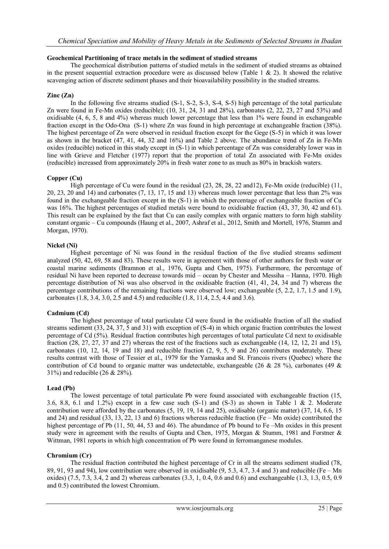#### **Geochemical Partitioning of trace metals in the sediment of studied streams**

The geochemical distribution patterns of studied metals in the sediment of studied streams as obtained in the present sequential extraction procedure were as discussed below (Table 1 & 2). It showed the relative scavenging action of discrete sediment phases and their bioavailability possibility in the studied streams.

## **Zinc (Zn)**

In the following five streams studied (S-1, S-2, S-3, S-4, S-5) high percentage of the total particulate Zn were found in Fe-Mn oxides (reducible); (10, 31, 24, 31 and 28%), carbonates (2, 22, 23, 27 and 53%) and oxidisable (4, 6, 5, 8 and 4%) whereas much lower percentage that less than 1% were found in exchangeable fraction except in the Odo-Ona (S-1) where Zn was found in high percentage at exchangeable fraction (38%). The highest percentage of Zn were observed in residual fraction except for the Gege (S-5) in which it was lower as shown in the bracket (47, 41, 44, 32 and 16%) and Table 2 above. The abundance trend of Zn in Fe-Mn oxides (reducible) noticed in this study except in (S-1) in which percentage of Zn was considerably lower was in line with Grieve and Fletcher (1977) report that the proportion of total Zn associated with Fe-Mn oxides (reducible) increased from approximately 20% in fresh water zone to as much as 80% in brackish waters.

## **Copper (Cu)**

High percentage of Cu were found in the residual (23, 28, 28, 22 and12), Fe-Mn oxide (reducible) (11, 20, 23, 20 and 14) and carbonates (7, 13, 17, 15 and 13) whereas much lower percentage that less than 2% was found in the exchangeable fraction except in the (S-1) in which the percentage of exchangeable fraction of Cu was 16%. The highest percentages of studied metals were bound to oxidisable fraction (43, 37, 30, 42 and 61). This result can be explained by the fact that Cu can easily complex with organic matters to form high stability constant organic – Cu compounds (Haung et al., 2007, Ashraf et al., 2012, Smith and Mortell, 1976, Stumm and Morgan, 1970).

#### **Nickel (Ni)**

Highest percentage of Ni was found in the residual fraction of the five studied streams sediment analyzed (50, 42, 69, 58 and 83). These results were in agreement with those of other authors for fresh water or coastal marine sediments (Bramnon et al., 1976, Gupta and Chen, 1975). Furthermore, the percentage of residual Ni have been reported to decrease towards mid – ocean by Chester and Messiha – Hanna, 1970. High percentage distribution of Ni was also observed in the oxidisable fraction (41, 41, 24, 34 and 7) whereas the percentage contributions of the remaining fractions were observed low; exchangeable (5, 2.2, 1.7, 1.5 and 1.9), carbonates (1.8, 3.4, 3.0, 2.5 and 4.5) and reducible (1.8, 11.4, 2.5, 4.4 and 3.6).

## **Cadmium (Cd)**

The highest percentage of total particulate Cd were found in the oxidisable fraction of all the studied streams sediment (33, 24, 37, 5 and 31) with exception of (S-4) in which organic fraction contributes the lowest percentage of Cd (5%). Residual fraction contributes high percentages of total particulate Cd next to oxidisable fraction (28, 27, 27, 37 and 27) whereas the rest of the fractions such as exchangeable (14, 12, 12, 21 and 15), carbonates (10, 12, 14, 19 and 18) and reducible fraction (2, 9, 5, 9 and 26) contributes moderately. These results contrast with those of Tessier et al., 1979 for the Yamaska and St. Francois rivers (Quebec) where the contribution of Cd bound to organic matter was undetectable, exchangeable (26 & 28 %), carbonates (49 & 31%) and reducible (26 & 28%).

## **Lead (Pb)**

The lowest percentage of total particulate Pb were found associated with exchangeable fraction (15, 3.6, 8.8, 6.1 and 1.2%) except in a few case such  $(S-1)$  and  $(S-3)$  as shown in Table 1 & 2. Moderate contribution were afforded by the carbonates (5, 19, 19, 14 and 25), oxidisable (organic matter) (37, 14, 6.6, 15 and 24) and residual (33, 13, 22, 13 and 6) fractions whereas reducible fraction (Fe – Mn oxide) contributed the highest percentage of Pb (11, 50, 44, 53 and 46). The abundance of Pb bound to Fe –Mn oxides in this present study were in agreement with the results of Gupta and Chen, 1975, Morgan & Stumm, 1981 and Forstner & Wittman, 1981 reports in which high concentration of Pb were found in ferromanganese modules.

#### **Chromium (Cr)**

The residual fraction contributed the highest percentage of Cr in all the streams sediment studied (78, 89, 91, 93 and 94), low contribution were observed in oxidisable (9, 5.3, 4.7, 3.4 and 3) and reducible (Fe – Mn oxides) (7.5, 7.3, 3.4, 2 and 2) whereas carbonates (3.3, 1, 0.4, 0.6 and 0.6) and exchangeable (1.3, 1.3, 0.5, 0.9 and 0.5) contributed the lowest Chromium.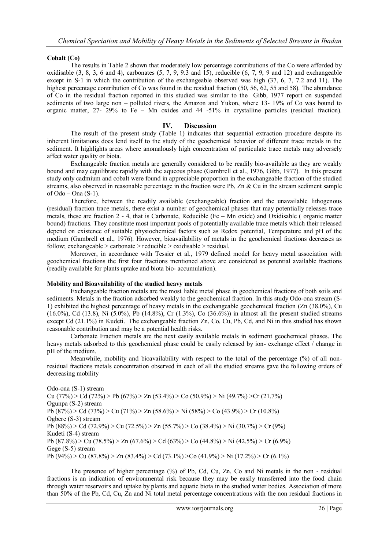## **Cobalt (Co)**

The results in Table 2 shown that moderately low percentage contributions of the Co were afforded by oxidisable  $(3, 8, 3, 6, \text{ and } 4)$ , carbonates  $(5, 7, 9, 9.3, \text{ and } 15)$ , reducible  $(6, 7, 9, 9, \text{ and } 12)$  and exchangeable except in S-1 in which the contribution of the exchangeable observed was high (37, 6, 7, 7.2 and 11). The highest percentage contribution of Co was found in the residual fraction (50, 56, 62, 55 and 58). The abundance of Co in the residual fraction reported in this studied was similar to the Gibb, 1977 report on suspended sediments of two large non – polluted rivers, the Amazon and Yukon, where 13- 19% of Co was bound to organic matter, 27- 29% to Fe – Mn oxides and 44 -51% in crystalline particles (residual fraction).

#### **IV. Discussion**

The result of the present study (Table 1) indicates that sequential extraction procedure despite its inherent limitations does lend itself to the study of the geochemical behavior of different trace metals in the sediment. It highlights areas where anomalously high concentration of particulate trace metals may adversely affect water quality or biota.

Exchangeable fraction metals are generally considered to be readily bio-available as they are weakly bound and may equilibrate rapidly with the aqueous phase (Gambrell et al., 1976, Gibb, 1977). In this present study only cadmium and cobalt were found in appreciable proportion in the exchangeable fraction of the studied streams, also observed in reasonable percentage in the fraction were Pb, Zn & Cu in the stream sediment sample of  $O$ do – Ona  $(S-1)$ .

Therefore, between the readily available (exchangeable) fraction and the unavailable lithogenous (residual) fraction trace metals, there exist a number of geochemical phases that may potentially releases trace metals, these are fraction 2 - 4, that is Carbonate, Reducible (Fe – Mn oxide) and Oxidisable ( organic matter bound) fractions. They constitute most important pools of potentially available trace metals which their released depend on existence of suitable physiochemical factors such as Redox potential, Temperature and pH of the medium (Gambrell et al., 1976). However, bioavailability of metals in the geochemical fractions decreases as follow; exchangeable > carbonate > reducible > oxidisable > residual.

Moreover, in accordance with Tessier et al., 1979 defined model for heavy metal association with geochemical fractions the first four fractions mentioned above are considered as potential available fractions (readily available for plants uptake and biota bio- accumulation).

## **Mobility and Bioavailability of the studied heavy metals**

Exchangeable fraction metals are the most liable metal phase in geochemical fractions of both soils and sediments. Metals in the fraction adsorbed weakly to the geochemical fraction. In this study Odo-ona stream (S-1) exhibited the highest percentage of heavy metals in the exchangeable geochemical fraction (Zn (38.0%), Cu (16.0%), Cd (13.8), Ni (5.0%), Pb (14.8%), Cr (1.3%), Co (36.6%)) in almost all the present studied streams except Cd (21.1%) in Kudeti. The exchangeable fraction Zn, Co, Cu, Pb, Cd, and Ni in this studied has shown reasonable contribution and may be a potential health risks.

Carbonate Fraction metals are the next easily available metals in sediment geochemical phases. The heavy metals adsorbed to this geochemical phase could be easily released by ion- exchange effect / change in pH of the medium.

Meanwhile, mobility and bioavailability with respect to the total of the percentage (%) of all nonresidual fractions metals concentration observed in each of all the studied streams gave the following orders of decreasing mobility

Odo-ona (S-1) stream Cu (77%) > Cd (72%) > Pb (67%) > Zn (53.4%) > Co (50.9%) > Ni (49.7%) > Cr (21.7%) Ogunpa (S-2) stream Pb (87%) > Cd (73%) > Cu (71%) > Zn (58.6%) > Ni (58%) > Co (43.9%) > Cr (10.8%) Ogbere (S-3) stream Pb (88%) > Cd (72.9%) > Cu (72.5%) > Zn (55.7%) > Co (38.4%) > Ni (30.7%) > Cr (9%) Kudeti (S-4) stream Pb (87.8%) > Cu (78.5%) > Zn (67.6%) > Cd (63%) > Co (44.8%) > Ni (42.5%) > Cr (6.9%) Gege (S-5) stream Pb (94%) > Cu (87.8%) > Zn (83.4%) > Cd (73.1%) >Co (41.9%) > Ni (17.2%) > Cr (6.1%)

The presence of higher percentage (%) of Pb, Cd, Cu, Zn, Co and Ni metals in the non - residual fractions is an indication of environmental risk because they may be easily transferred into the food chain through water reservoirs and uptake by plants and aquatic biota in the studied water bodies. Association of more than 50% of the Pb, Cd, Cu, Zn and Ni total metal percentage concentrations with the non residual fractions in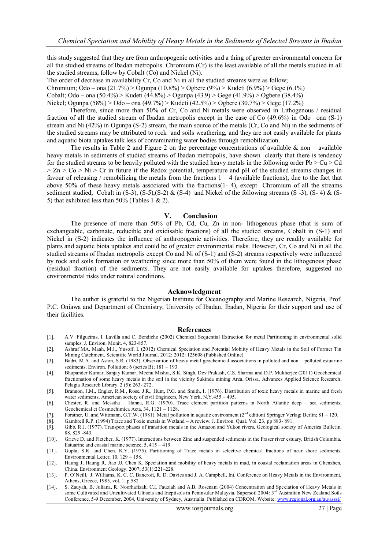this study suggested that they are from anthropogenic activities and a thing of greater environmental concern for all the studied streams of Ibadan metropolis. Chromium (Cr) is the least available of all the metals studied in all the studied streams, follow by Cobalt (Co) and Nickel (Ni).

The order of decrease in availability Cr, Co and Ni in all the studied streams were as follow;

Chromium; Odo – ona (21.7%) > Ogunpa (10.8%) > Ogbere (9%) > Kudeti (6.9%) > Gege (6.1%)

Cobalt; Odo – ona (50.4%) > Kudeti (44.8%) > Ogunpa (43.9) > Gege (41.9%) > Ogbere (38.4%)

Nickel; Ogunpa (58%) > Odo – ona (49.7%) > Kudeti (42.5%) > Ogbere (30.7%) > Gege (17.2%)

 Therefore, since more than 50% of Cr, Co and Ni metals were observed in Lithogenous / residual fraction of all the studied stream of Ibadan metropolis except in the case of Co (49.6%) in Odo –ona (S-1) stream and Ni (42%) in Ogunpa (S-2) stream, the main source of the metals (Cr, Co and Ni) in the sediments of the studied streams may be attributed to rock and soils weathering, and they are not easily available for plants and aquatic biota uptakes talk less of contaminating water bodies through remobilization.

The results in Table 2 and Figure 2 on the percentage concentrations of available  $\&$  non – available heavy metals in sediments of studied streams of Ibadan metropolis, have shown clearly that there is tendency for the studied streams to be heavily polluted with the studied heavy metals in the following order  $Pb > Cu > Cd$  $> Zn > C_0 > Ni > Cr$  in future if the Redox potential, temperature and pH of the studied streams changes in favour of releasing / remobilizing the metals from the fractions  $1 - 4$  (available fractions), due to the fact that above 50% of these heavy metals associated with the fractions(1- 4), except Chromium of all the streams sediment studied, Cobalt in  $(S-3)$ ,  $(S-5)$ ,  $(S-2)$  &  $(S-4)$  and Nickel of the following streams  $(S-3)$ ,  $(S-4)$  &  $(S-5)$ 5) that exhibited less than 50% (Tables 1 & 2).

#### **V. Conclusion**

The presence of more than 50% of Pb, Cd, Cu, Zn in non- lithogenous phase (that is sum of exchangeable, carbonate, reducible and oxidisable fractions) of all the studied streams, Cobalt in (S-1) and Nickel in (S-2) indicates the influence of anthropogenic activities. Therefore, they are readily available for plants and aquatic biota uptakes and could be of greater environmental risks. However, Cr, Co and Ni in all the studied streams of Ibadan metropolis except Co and Ni of (S-1) and (S-2) streams respectively were influenced by rock and soils formation or weathering since more than 50% of them were found in the lithogenous phase (residual fraction) of the sediments. They are not easily available for uptakes therefore, suggested no environmental risks under natural conditions.

#### **Acknowledgment**

The author is grateful to the Nigerian Institute for Oceanography and Marine Research, Nigeria, Prof. P.C. Oniawa and Department of Chemistry, University of Ibadan, Ibadan, Nigeria for their support and use of their facilities.

#### **References**

- [1]. A.V. Filgueiras, I. Lavilla and C. Bendicho (2002) Chemical Sequential Extraction for metal Partitioning in environmental solid samples. J. Environ. Monit. 4, 823-857.
- [2]. Ashraf MA, Maah, M.J., Yusoff, I. (2012) Chemical Speciation and Potential Mobiity of Heavy Metals in the Soil of Former Tin Mining Catchment. Scientific World Journal. 2012; 2012: 125608 (Published Online).
- [3]. Badri, M.A. and Aston, S.R. (1983). Observation of heavy metal geochemical associations in polluted and non polluted estuarine sediments. Environ. Pollution; 6 (series B); 181 - 193.
- [4]. Bhupander Kumar, Sanjay Kumar, Meenu Mishra, S.K. Singh, Dev Prakash, C.S. Sharma and D.P. Mukherjee (2011) Geochemical fractionation of some heavy metals in the soil in the vicinity Sukinda mining Area, Orissa. Advances Applied Science Research, Pelagia Research Library. 2 (5): 263- 272.
- [5]. Brannon, J.M., Engler, R.M., Rose, J.R., Hunt, P.G. and Smith, I. (1976). Distribution of toxic heavy metals in marine and fresh water sediments; American society of civil Engineers, New York, N.Y.455 – 495.
- [6]. Chester, R. and Messiha Hanna, R.G. (1970). Trace element partition patterns in North Atlantic deep sea sediments; Geochemical et Cosmochimica Acta, 34, 1121 – 1128.
- [7]. Forstner, U. and Wittmann, G.T.W. (1981). Metal pollution in aquatic environment (2nd edition) Springer Verlag; Berlin; 81 120.
- [8]. Gambrell R.P. (1994) Trace and Toxic metals in Wetland A review. J. Environ. Qual. Vol. 23, pp 883- 891.
- [9]. Gibb, R.J. (1977). Transport phases of transition metals in the Amazon and Yukon rivers, Geological society of America Bulletin, 88, 829 -843.
- [10]. Grieve D. and Fletcher, K. (1977). Interactions between Zinc and suspended sediments in the Fraser river estuary, British Columbia. Estuarine and coastal marine science, 5, 415 – 419.
- [11]. Gupta, S.K. and Chen, K.Y. (1975). Partitioning of Trace metals in selective chemical fractions of near shore sediments. Environmental Letter, 10, 129 – 158.
- [12]. Haung J, Haung R, Jiao JJ, Chen K. Speciation and mobility of heavy metals in mud, in coastal reclamation areas in Chenzhen, China. Environment Geology. 2007; 53(1):221–228.
- [13]. P. O'Neill, J. Williams, K. C. C. Bancroft, R. D. Davies and J. A. Campbell, Int. Conference on Heavy Metals in the Environment, Athens, Greece, 1985, vol. 1, p.582
- [14]. S. Zauyah, B. Juliana, R. Noorhafizah, C.I. Fauziah and A.B. Rosenani (2004) Concentration and Speciation of Heavy Metals in some Cultivated and Uncultivated Ultisols and Ineptisols in Peninsular Malaysia. Supersoil 2004: 3<sup>rd</sup> Australian New Zealand Soils Conference, 5-9 December, 2004, University of Sydney, Austrialia. Published on CDROM. Website[: www.regional.org.au/au/asssi/](http://www.regional.org.au/au/asssi/)